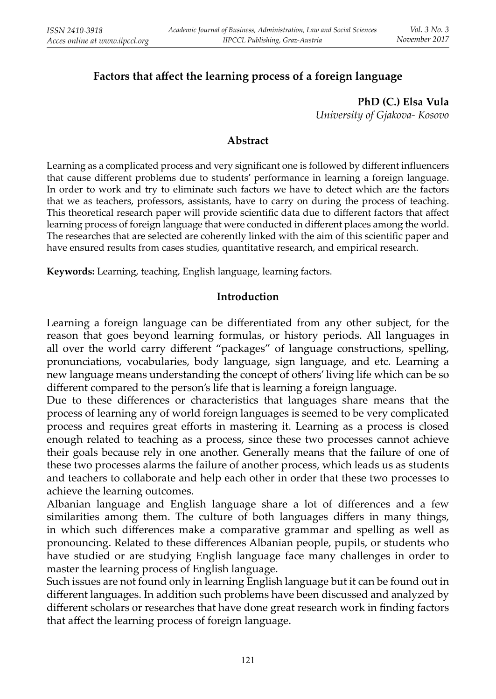# **Factors that aff ect the learning process of a foreign language**

**PhD (C.) Elsa Vula** *University of Gjakova- Kosovo*

#### **Abstract**

Learning as a complicated process and very significant one is followed by different influencers that cause different problems due to students' performance in learning a foreign language. In order to work and try to eliminate such factors we have to detect which are the factors that we as teachers, professors, assistants, have to carry on during the process of teaching. This theoretical research paper will provide scientific data due to different factors that affect learning process of foreign language that were conducted in different places among the world. The researches that are selected are coherently linked with the aim of this scientific paper and have ensured results from cases studies, quantitative research, and empirical research.

**Keywords:** Learning, teaching, English language, learning factors.

#### **Introduction**

Learning a foreign language can be differentiated from any other subject, for the reason that goes beyond learning formulas, or history periods. All languages in all over the world carry different "packages" of language constructions, spelling, pronunciations, vocabularies, body language, sign language, and etc. Learning a new language means understanding the concept of others' living life which can be so different compared to the person's life that is learning a foreign language.

Due to these differences or characteristics that languages share means that the process of learning any of world foreign languages is seemed to be very complicated process and requires great efforts in mastering it. Learning as a process is closed enough related to teaching as a process, since these two processes cannot achieve their goals because rely in one another. Generally means that the failure of one of these two processes alarms the failure of another process, which leads us as students and teachers to collaborate and help each other in order that these two processes to achieve the learning outcomes.

Albanian language and English language share a lot of differences and a few similarities among them. The culture of both languages differs in many things, in which such differences make a comparative grammar and spelling as well as pronouncing. Related to these differences Albanian people, pupils, or students who have studied or are studying English language face many challenges in order to master the learning process of English language.

Such issues are not found only in learning English language but it can be found out in different languages. In addition such problems have been discussed and analyzed by different scholars or researches that have done great research work in finding factors that affect the learning process of foreign language.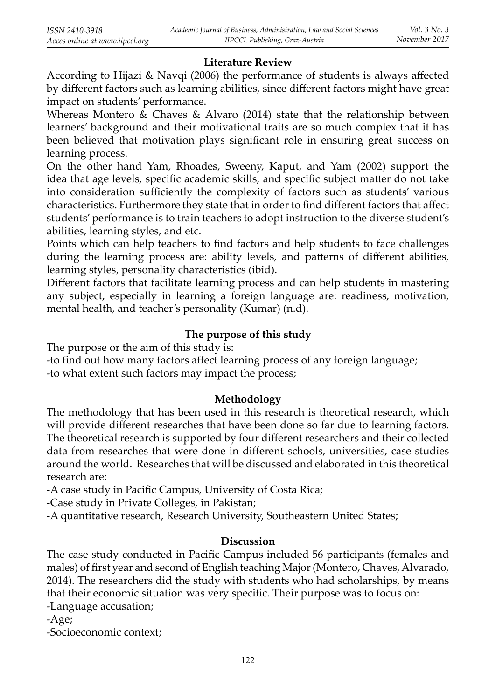## **Literature Review**

According to Hijazi  $\&$  Navqi (2006) the performance of students is always affected by different factors such as learning abilities, since different factors might have great impact on students' performance.

Whereas Montero & Chaves & Alvaro (2014) state that the relationship between learners' background and their motivational traits are so much complex that it has been believed that motivation plays significant role in ensuring great success on learning process.

On the other hand Yam, Rhoades, Sweeny, Kaput, and Yam (2002) support the idea that age levels, specific academic skills, and specific subject matter do not take into consideration sufficiently the complexity of factors such as students' various characteristics. Furthermore they state that in order to find different factors that affect students' performance is to train teachers to adopt instruction to the diverse student's abilities, learning styles, and etc.

Points which can help teachers to find factors and help students to face challenges during the learning process are: ability levels, and patterns of different abilities, learning styles, personality characteristics (ibid).

Different factors that facilitate learning process and can help students in mastering any subject, especially in learning a foreign language are: readiness, motivation, mental health, and teacher's personality (Kumar) (n.d).

## **The purpose of this study**

The purpose or the aim of this study is:

-to find out how many factors affect learning process of any foreign language;

-to what extent such factors may impact the process;

### **Methodology**

The methodology that has been used in this research is theoretical research, which will provide different researches that have been done so far due to learning factors. The theoretical research is supported by four different researchers and their collected data from researches that were done in different schools, universities, case studies around the world. Researches that will be discussed and elaborated in this theoretical research are:

-A case study in Pacific Campus, University of Costa Rica;

-Case study in Private Colleges, in Pakistan;

-A quantitative research, Research University, Southeastern United States;

### **Discussion**

The case study conducted in Pacific Campus included 56 participants (females and males) of first year and second of English teaching Major (Montero, Chaves, Alvarado, 2014). The researchers did the study with students who had scholarships, by means that their economic situation was very specific. Their purpose was to focus on:

-Language accusation;

-Age;

-Socioeconomic context;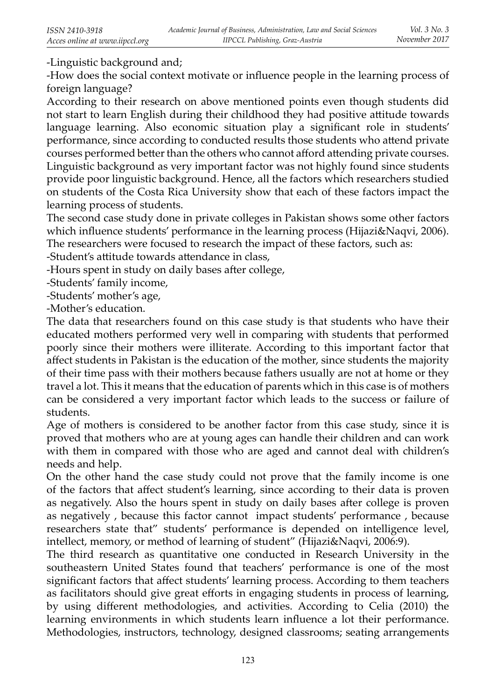-Linguistic background and;

-How does the social context motivate or influence people in the learning process of foreign language?

According to their research on above mentioned points even though students did not start to learn English during their childhood they had positive attitude towards language learning. Also economic situation play a significant role in students' performance, since according to conducted results those students who attend private courses performed better than the others who cannot afford attending private courses. Linguistic background as very important factor was not highly found since students provide poor linguistic background. Hence, all the factors which researchers studied on students of the Costa Rica University show that each of these factors impact the learning process of students.

The second case study done in private colleges in Pakistan shows some other factors which influence students' performance in the learning process (Hijazi&Naqvi, 2006). The researchers were focused to research the impact of these factors, such as:

-Student's attitude towards attendance in class,

-Hours spent in study on daily bases after college,

-Students' family income,

-Students' mother's age,

-Mother's education.

The data that researchers found on this case study is that students who have their educated mothers performed very well in comparing with students that performed poorly since their mothers were illiterate. According to this important factor that affect students in Pakistan is the education of the mother, since students the majority of their time pass with their mothers because fathers usually are not at home or they travel a lot. This it means that the education of parents which in this case is of mothers can be considered a very important factor which leads to the success or failure of students.

Age of mothers is considered to be another factor from this case study, since it is proved that mothers who are at young ages can handle their children and can work with them in compared with those who are aged and cannot deal with children's needs and help.

On the other hand the case study could not prove that the family income is one of the factors that affect student's learning, since according to their data is proven as negatively. Also the hours spent in study on daily bases after college is proven as negatively , because this factor cannot impact students' performance , because researchers state that" students' performance is depended on intelligence level, intellect, memory, or method of learning of student" (Hijazi&Naqvi, 2006:9).

The third research as quantitative one conducted in Research University in the southeastern United States found that teachers' performance is one of the most significant factors that affect students' learning process. According to them teachers as facilitators should give great efforts in engaging students in process of learning, by using different methodologies, and activities. According to Celia (2010) the learning environments in which students learn influence a lot their performance. Methodologies, instructors, technology, designed classrooms; seating arrangements